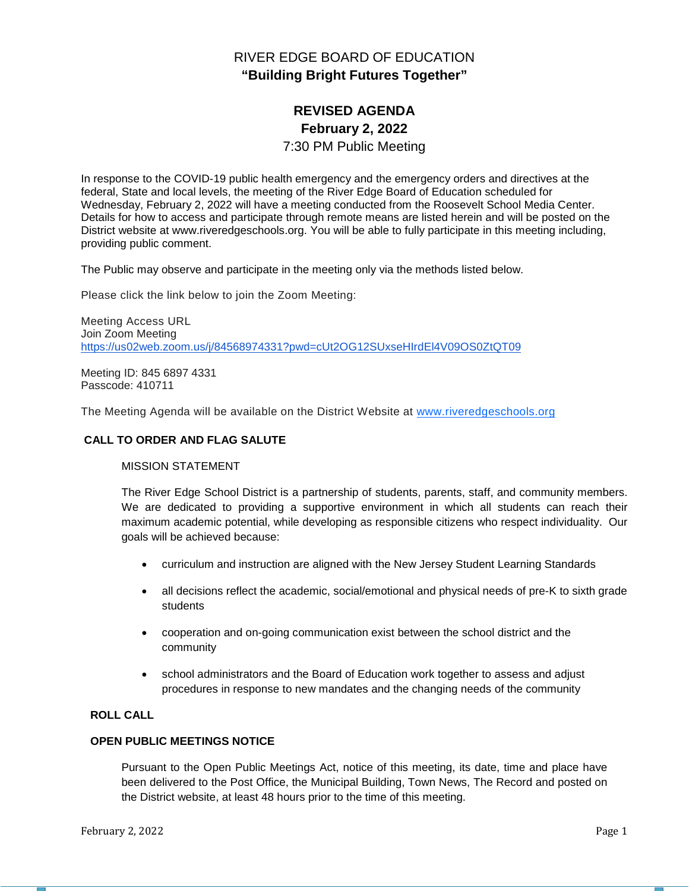# RIVER EDGE BOARD OF EDUCATION **"Building Bright Futures Together"**

# **REVISED AGENDA February 2, 2022**

## 7:30 PM Public Meeting

In response to the COVID-19 public health emergency and the emergency orders and directives at the federal, State and local levels, the meeting of the River Edge Board of Education scheduled for Wednesday, February 2, 2022 will have a meeting conducted from the Roosevelt School Media Center. Details for how to access and participate through remote means are listed herein and will be posted on the District website at www.riveredgeschools.org. You will be able to fully participate in this meeting including, providing public comment.

The Public may observe and participate in the meeting only via the methods listed below.

Please click the link below to join the Zoom Meeting:

Meeting Access URL Join Zoom Meeting <https://us02web.zoom.us/j/84568974331?pwd=cUt2OG12SUxseHIrdEl4V09OS0ZtQT09>

Meeting ID: 845 6897 4331 Passcode: 410711

The Meeting Agenda will be available on the District Website at www[.riveredgeschools.org](http://riveredgeschools.org/)

### **CALL TO ORDER AND FLAG SALUTE**

### MISSION STATEMENT

The River Edge School District is a partnership of students, parents, staff, and community members. We are dedicated to providing a supportive environment in which all students can reach their maximum academic potential, while developing as responsible citizens who respect individuality. Our goals will be achieved because:

- curriculum and instruction are aligned with the New Jersey Student Learning Standards
- all decisions reflect the academic, social/emotional and physical needs of pre-K to sixth grade students
- cooperation and on-going communication exist between the school district and the community
- school administrators and the Board of Education work together to assess and adjust procedures in response to new mandates and the changing needs of the community

# **ROLL CALL**

## **OPEN PUBLIC MEETINGS NOTICE**

Pursuant to the Open Public Meetings Act, notice of this meeting, its date, time and place have been delivered to the Post Office, the Municipal Building, Town News, The Record and posted on the District website, at least 48 hours prior to the time of this meeting.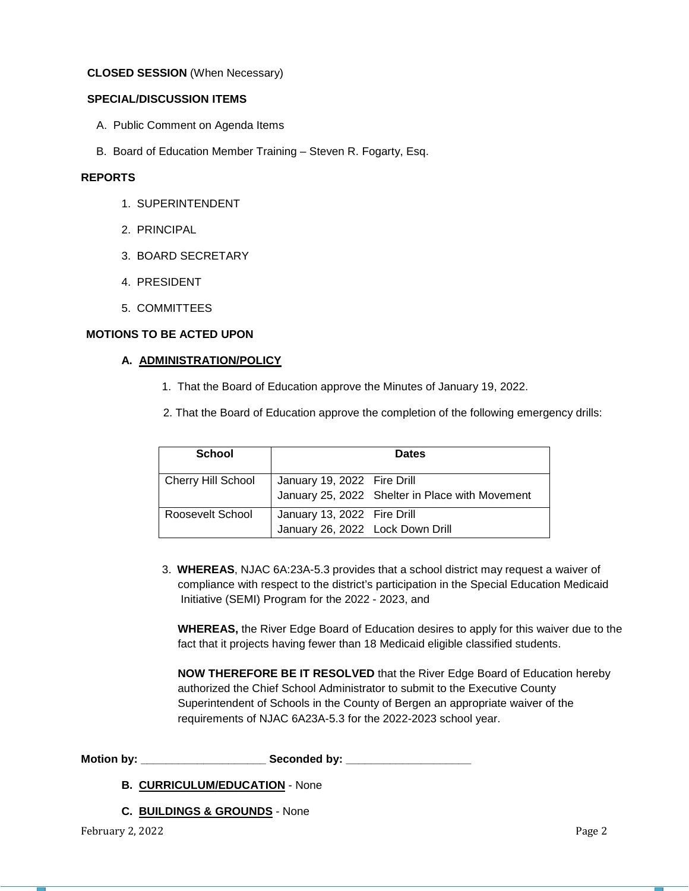### **CLOSED SESSION** (When Necessary)

## **SPECIAL/DISCUSSION ITEMS**

- A. Public Comment on Agenda Items
- B. Board of Education Member Training Steven R. Fogarty, Esq.

# **REPORTS**

- 1. SUPERINTENDENT
- 2. PRINCIPAL
- 3. BOARD SECRETARY
- 4. PRESIDENT
- 5. COMMITTEES

## **MOTIONS TO BE ACTED UPON**

### **A. ADMINISTRATION/POLICY**

- 1. That the Board of Education approve the Minutes of January 19, 2022.
- 2. That the Board of Education approve the completion of the following emergency drills:

| <b>School</b>             | <b>Dates</b>                                                    |                                                 |  |
|---------------------------|-----------------------------------------------------------------|-------------------------------------------------|--|
| <b>Cherry Hill School</b> | January 19, 2022 Fire Drill                                     | January 25, 2022 Shelter in Place with Movement |  |
| Roosevelt School          | January 13, 2022 Fire Drill<br>January 26, 2022 Lock Down Drill |                                                 |  |

 3. **WHEREAS**, NJAC 6A:23A-5.3 provides that a school district may request a waiver of compliance with respect to the district's participation in the Special Education Medicaid Initiative (SEMI) Program for the 2022 - 2023, and

 **WHEREAS,** the River Edge Board of Education desires to apply for this waiver due to the fact that it projects having fewer than 18 Medicaid eligible classified students.

 **NOW THEREFORE BE IT RESOLVED** that the River Edge Board of Education hereby authorized the Chief School Administrator to submit to the Executive County Superintendent of Schools in the County of Bergen an appropriate waiver of the requirements of NJAC 6A23A-5.3 for the 2022-2023 school year.

**Motion by: \_\_\_\_\_\_\_\_\_\_\_\_\_\_\_\_\_\_\_\_ Seconded by: \_\_\_\_\_\_\_\_\_\_\_\_\_\_\_\_\_\_\_\_**

**B. CURRICULUM/EDUCATION** - None

**C. BUILDINGS & GROUNDS** - None

February 2, 2022 **Page 2**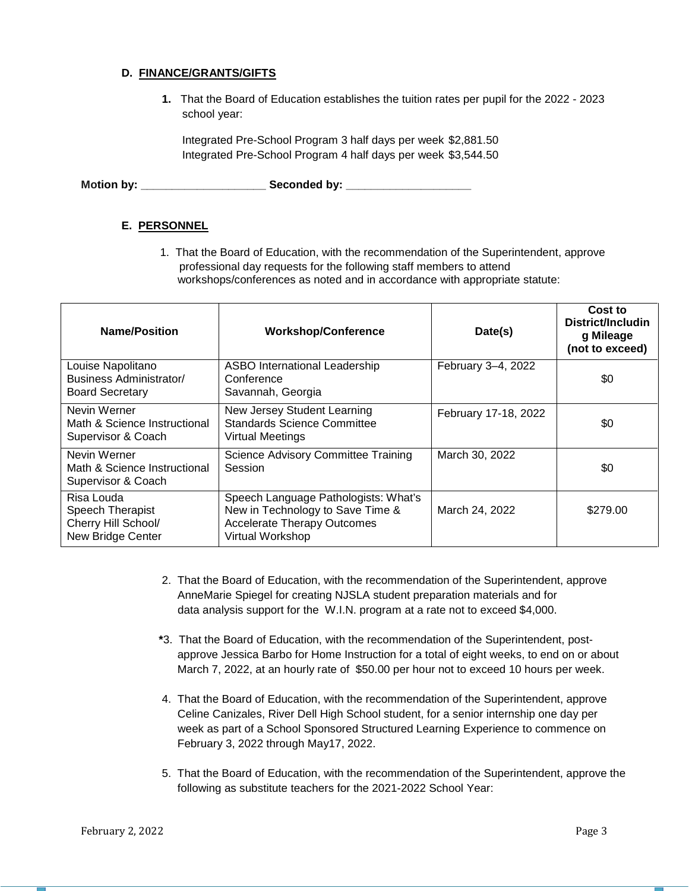## **D. FINANCE/GRANTS/GIFTS**

**1.** That the Board of Education establishes the tuition rates per pupil for the 2022 - 2023 school year:

Integrated Pre-School Program 3 half days per week \$2,881.50 Integrated Pre-School Program 4 half days per week \$3,544.50

**Motion by: \_\_\_\_\_\_\_\_\_\_\_\_\_\_\_\_\_\_\_\_ Seconded by: \_\_\_\_\_\_\_\_\_\_\_\_\_\_\_\_\_\_\_\_**

# **E. PERSONNEL**

1. That the Board of Education, with the recommendation of the Superintendent, approve professional day requests for the following staff members to attend workshops/conferences as noted and in accordance with appropriate statute:

| <b>Name/Position</b>                                                       | <b>Workshop/Conference</b><br>Date(s)                                                                                              |                      | Cost to<br>District/Includin<br>g Mileage<br>(not to exceed) |
|----------------------------------------------------------------------------|------------------------------------------------------------------------------------------------------------------------------------|----------------------|--------------------------------------------------------------|
| Louise Napolitano<br>Business Administrator/<br><b>Board Secretary</b>     | <b>ASBO International Leadership</b><br>Conference<br>Savannah, Georgia                                                            | February 3-4, 2022   | \$0                                                          |
| Nevin Werner<br>Math & Science Instructional<br>Supervisor & Coach         | New Jersey Student Learning<br><b>Standards Science Committee</b><br><b>Virtual Meetings</b>                                       | February 17-18, 2022 | \$0                                                          |
| Nevin Werner<br>Math & Science Instructional<br>Supervisor & Coach         | <b>Science Advisory Committee Training</b><br>Session                                                                              | March 30, 2022       | \$0                                                          |
| Risa Louda<br>Speech Therapist<br>Cherry Hill School/<br>New Bridge Center | Speech Language Pathologists: What's<br>New in Technology to Save Time &<br><b>Accelerate Therapy Outcomes</b><br>Virtual Workshop | March 24, 2022       | \$279.00                                                     |

- 2.That the Board of Education, with the recommendation of the Superintendent, approve AnneMarie Spiegel for creating NJSLA student preparation materials and for data analysis support for the W.I.N. program at a rate not to exceed \$4,000.
- **\***3. That the Board of Education, with the recommendation of the Superintendent, post approve Jessica Barbo for Home Instruction for a total of eight weeks, to end on or about March 7, 2022, at an hourly rate of \$50.00 per hour not to exceed 10 hours per week.
- 4.That the Board of Education, with the recommendation of the Superintendent, approve Celine Canizales, River Dell High School student, for a senior internship one day per week as part of a School Sponsored Structured Learning Experience to commence on February 3, 2022 through May17, 2022.
- 5. That the Board of Education, with the recommendation of the Superintendent, approve the following as substitute teachers for the 2021-2022 School Year: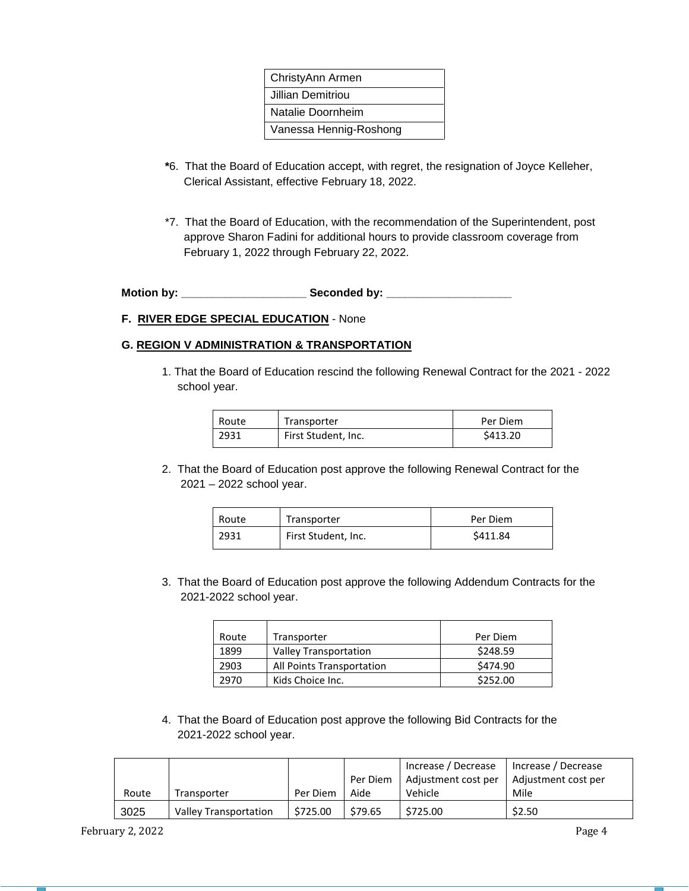| ChristyAnn Armen       |
|------------------------|
| Jillian Demitriou      |
| Natalie Doornheim      |
| Vanessa Hennig-Roshong |
|                        |

- **\***6. That the Board of Education accept, with regret, the resignation of Joyce Kelleher, Clerical Assistant, effective February 18, 2022.
- \*7. That the Board of Education, with the recommendation of the Superintendent, post approve Sharon Fadini for additional hours to provide classroom coverage from February 1, 2022 through February 22, 2022.

**Motion by: \_\_\_\_\_\_\_\_\_\_\_\_\_\_\_\_\_\_\_\_ Seconded by: \_\_\_\_\_\_\_\_\_\_\_\_\_\_\_\_\_\_\_\_**

## **F. RIVER EDGE SPECIAL EDUCATION** - None

## **G. REGION V ADMINISTRATION & TRANSPORTATION**

1. That the Board of Education rescind the following Renewal Contract for the 2021 - 2022 school year.

| Route | Transporter         | Per Diem |  |
|-------|---------------------|----------|--|
| 2931  | First Student, Inc. | \$413.20 |  |

2. That the Board of Education post approve the following Renewal Contract for the 2021 – 2022 school year.

| Route | Transporter         | Per Diem |  |
|-------|---------------------|----------|--|
| 2931  | First Student, Inc. | \$411.84 |  |

3. That the Board of Education post approve the following Addendum Contracts for the 2021-2022 school year.

| Route                    | Transporter               | Per Diem |
|--------------------------|---------------------------|----------|
| 1899                     | Valley Transportation     | \$248.59 |
| 2903                     | All Points Transportation | \$474.90 |
| Kids Choice Inc.<br>2970 |                           | \$252.00 |

4. That the Board of Education post approve the following Bid Contracts for the 2021-2022 school year.

|       |                       |          |          | Increase / Decrease | Increase / Decrease |
|-------|-----------------------|----------|----------|---------------------|---------------------|
|       |                       |          | Per Diem | Adjustment cost per | Adjustment cost per |
| Route | Transporter           | Per Diem | Aide     | Vehicle             | Mile                |
| 3025  | Valley Transportation | \$725.00 | \$79.65  | \$725.00            | \$2.50              |

February 2, 2022 **Page 4**